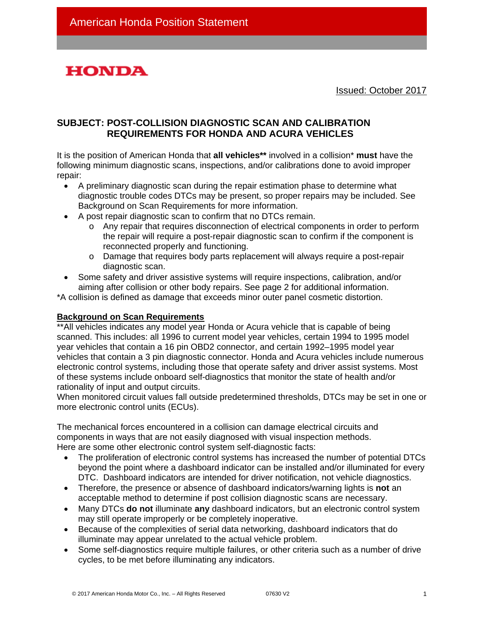

Issued: October 2017

# **SUBJECT: POST-COLLISION DIAGNOSTIC SCAN AND CALIBRATION REQUIREMENTS FOR HONDA AND ACURA VEHICLES**

It is the position of American Honda that **all vehicles\*\*** involved in a collision\* **must** have the following minimum diagnostic scans, inspections, and/or calibrations done to avoid improper repair:

- A preliminary diagnostic scan during the repair estimation phase to determine what diagnostic trouble codes DTCs may be present, so proper repairs may be included. See Background on Scan Requirements for more information.
- A post repair diagnostic scan to confirm that no DTCs remain.
	- o Any repair that requires disconnection of electrical components in order to perform the repair will require a post-repair diagnostic scan to confirm if the component is reconnected properly and functioning.
	- o Damage that requires body parts replacement will always require a post-repair diagnostic scan.
- Some safety and driver assistive systems will require inspections, calibration, and/or aiming after collision or other body repairs. See page 2 for additional information.

\*A collision is defined as damage that exceeds minor outer panel cosmetic distortion.

#### **Background on Scan Requirements**

\*\*All vehicles indicates any model year Honda or Acura vehicle that is capable of being scanned. This includes: all 1996 to current model year vehicles, certain 1994 to 1995 model year vehicles that contain a 16 pin OBD2 connector, and certain 1992–1995 model year vehicles that contain a 3 pin diagnostic connector. Honda and Acura vehicles include numerous electronic control systems, including those that operate safety and driver assist systems. Most of these systems include onboard self-diagnostics that monitor the state of health and/or rationality of input and output circuits.

When monitored circuit values fall outside predetermined thresholds, DTCs may be set in one or more electronic control units (ECUs).

The mechanical forces encountered in a collision can damage electrical circuits and components in ways that are not easily diagnosed with visual inspection methods. Here are some other electronic control system self-diagnostic facts:

- The proliferation of electronic control systems has increased the number of potential DTCs beyond the point where a dashboard indicator can be installed and/or illuminated for every DTC. Dashboard indicators are intended for driver notification, not vehicle diagnostics.
- Therefore, the presence or absence of dashboard indicators/warning lights is **not** an acceptable method to determine if post collision diagnostic scans are necessary.
- Many DTCs **do not** illuminate **any** dashboard indicators, but an electronic control system may still operate improperly or be completely inoperative.
- Because of the complexities of serial data networking, dashboard indicators that do illuminate may appear unrelated to the actual vehicle problem.
- Some self-diagnostics require multiple failures, or other criteria such as a number of drive cycles, to be met before illuminating any indicators.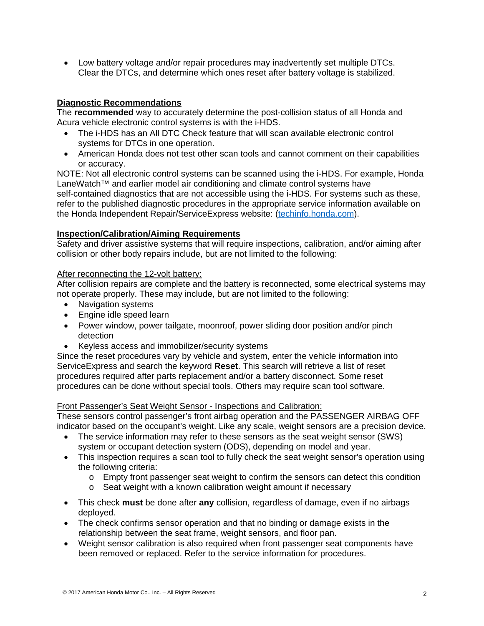• Low battery voltage and/or repair procedures may inadvertently set multiple DTCs. Clear the DTCs, and determine which ones reset after battery voltage is stabilized.

## **Diagnostic Recommendations**

The **recommended** way to accurately determine the post-collision status of all Honda and Acura vehicle electronic control systems is with the i-HDS.

- The i-HDS has an All DTC Check feature that will scan available electronic control systems for DTCs in one operation.
- American Honda does not test other scan tools and cannot comment on their capabilities or accuracy.

NOTE: Not all electronic control systems can be scanned using the i-HDS. For example, Honda LaneWatch™ and earlier model air conditioning and climate control systems have self-contained diagnostics that are not accessible using the i-HDS. For systems such as these, refer to the published diagnostic procedures in the appropriate service information available on the Honda Independent Repair/ServiceExpress website: [\(techinfo.honda.com\)](https://techinfo.honda.com/).

#### **Inspection/Calibration/Aiming Requirements**

Safety and driver assistive systems that will require inspections, calibration, and/or aiming after collision or other body repairs include, but are not limited to the following:

#### After reconnecting the 12-volt battery:

After collision repairs are complete and the battery is reconnected, some electrical systems may not operate properly. These may include, but are not limited to the following:

- Navigation systems
- Engine idle speed learn
- Power window, power tailgate, moonroof, power sliding door position and/or pinch detection
- Keyless access and immobilizer/security systems

Since the reset procedures vary by vehicle and system, enter the vehicle information into ServiceExpress and search the keyword **Reset**. This search will retrieve a list of reset procedures required after parts replacement and/or a battery disconnect. Some reset procedures can be done without special tools. Others may require scan tool software.

#### Front Passenger's Seat Weight Sensor - Inspections and Calibration:

These sensors control passenger's front airbag operation and the PASSENGER AIRBAG OFF indicator based on the occupant's weight. Like any scale, weight sensors are a precision device.

- The service information may refer to these sensors as the seat weight sensor (SWS) system or occupant detection system (ODS), depending on model and year.
- This inspection requires a scan tool to fully check the seat weight sensor's operation using the following criteria:
	- $\circ$  Empty front passenger seat weight to confirm the sensors can detect this condition
	- o Seat weight with a known calibration weight amount if necessary
- This check **must** be done after **any** collision, regardless of damage, even if no airbags deployed.
- The check confirms sensor operation and that no binding or damage exists in the relationship between the seat frame, weight sensors, and floor pan.
- Weight sensor calibration is also required when front passenger seat components have been removed or replaced. Refer to the service information for procedures.